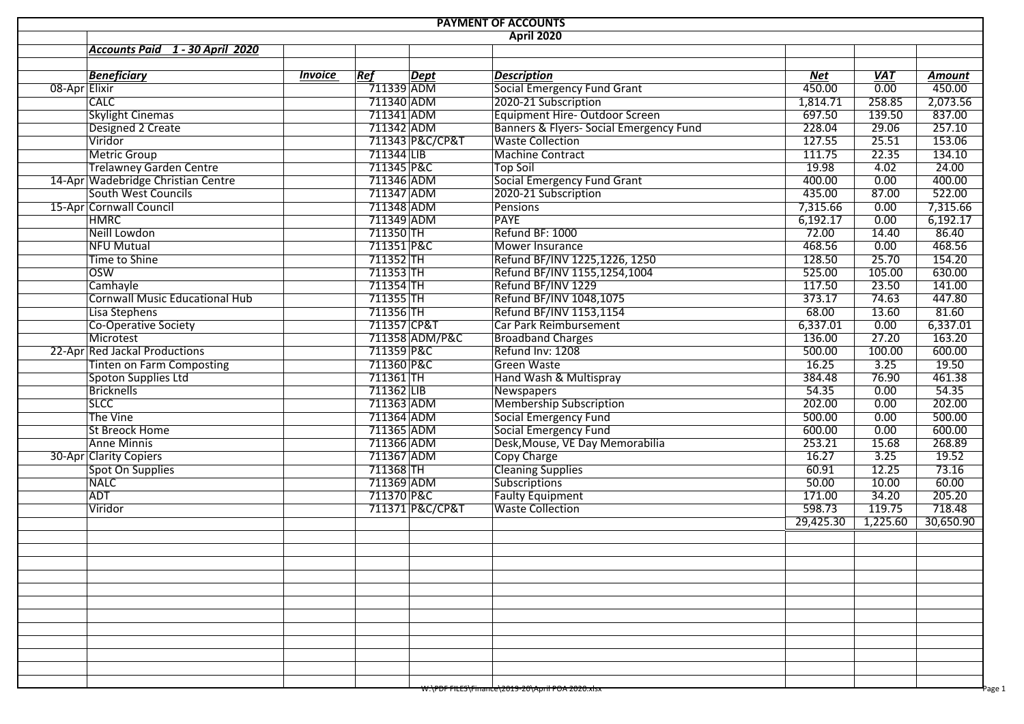| <b>PAYMENT OF ACCOUNTS</b>            |                |                          |                 |                                                    |            |                   |               |  |  |  |  |  |
|---------------------------------------|----------------|--------------------------|-----------------|----------------------------------------------------|------------|-------------------|---------------|--|--|--|--|--|
| <b>April 2020</b>                     |                |                          |                 |                                                    |            |                   |               |  |  |  |  |  |
| Accounts Paid 1 - 30 April 2020       |                |                          |                 |                                                    |            |                   |               |  |  |  |  |  |
|                                       |                |                          |                 |                                                    |            |                   |               |  |  |  |  |  |
| <b>Beneficiary</b>                    | <b>Invoice</b> | Ref                      | <b>Dept</b>     | <b>Description</b>                                 | <b>Net</b> | <b>VAT</b>        | <b>Amount</b> |  |  |  |  |  |
| 08-Apr Elixir                         |                | 711339 ADM               |                 | <b>Social Emergency Fund Grant</b>                 | 450.00     | $\overline{0.00}$ | 450.00        |  |  |  |  |  |
| <b>CALC</b>                           |                | 711340 ADM               |                 | 2020-21 Subscription                               | 1,814.71   | 258.85            | 2,073.56      |  |  |  |  |  |
| <b>Skylight Cinemas</b>               |                | 711341 ADM               |                 | Equipment Hire-Outdoor Screen                      | 697.50     | 139.50            | 837.00        |  |  |  |  |  |
| Designed 2 Create                     |                | 711342 ADM               |                 | Banners & Flyers- Social Emergency Fund            | 228.04     | 29.06             | 257.10        |  |  |  |  |  |
| Viridor                               |                |                          | 711343 P&C/CP&T | <b>Waste Collection</b>                            | 127.55     | 25.51             | 153.06        |  |  |  |  |  |
| <b>Metric Group</b>                   |                | 711344 LIB               |                 | <b>Machine Contract</b>                            | 111.75     | 22.35             | 134.10        |  |  |  |  |  |
| <b>Trelawney Garden Centre</b>        |                | 711345 P&C               |                 | <b>Top Soil</b>                                    | 19.98      | 4.02              | 24.00         |  |  |  |  |  |
| 14-Apr Wadebridge Christian Centre    |                | 711346 ADM               |                 | <b>Social Emergency Fund Grant</b>                 | 400.00     | 0.00              | 400.00        |  |  |  |  |  |
| South West Councils                   |                | 711347 ADM               |                 | 2020-21 Subscription                               | 435.00     | 87.00             | 522.00        |  |  |  |  |  |
| 15-Apr Cornwall Council               |                | 711348 ADM               |                 | Pensions                                           | 7,315.66   | 0.00              | 7,315.66      |  |  |  |  |  |
| <b>HMRC</b>                           |                | 711349 ADM               |                 | PAYE                                               | 6,192.17   | 0.00              | 6,192.17      |  |  |  |  |  |
| Neill Lowdon                          |                | 711350 TH                |                 | Refund BF: 1000                                    | 72.00      | 14.40             | 86.40         |  |  |  |  |  |
| NFU Mutual                            |                | 711351 P&C               |                 | Mower Insurance                                    | 468.56     | 0.00              | 468.56        |  |  |  |  |  |
| Time to Shine                         |                | 711352 TH                |                 | Refund BF/INV 1225,1226, 1250                      | 128.50     | 25.70             | 154.20        |  |  |  |  |  |
| <b>OSW</b>                            |                | 711353 TH                |                 | Refund BF/INV 1155,1254,1004                       | 525.00     | 105.00            | 630.00        |  |  |  |  |  |
| Camhayle                              |                | 711354 TH                |                 | Refund BF/INV 1229                                 | 117.50     | 23.50             | 141.00        |  |  |  |  |  |
| <b>Cornwall Music Educational Hub</b> |                | 711355 TH                |                 | Refund BF/INV 1048,1075                            | 373.17     | 74.63             | 447.80        |  |  |  |  |  |
| Lisa Stephens                         |                | $711356$ TH              |                 | Refund BF/INV 1153,1154                            | 68.00      | 13.60             | 81.60         |  |  |  |  |  |
| <b>Co-Operative Society</b>           |                | 711357 CP&T              |                 | Car Park Reimbursement                             | 6,337.01   | 0.00              | 6,337.01      |  |  |  |  |  |
| Microtest                             |                |                          | 711358 ADM/P&C  | <b>Broadband Charges</b>                           | 136.00     | 27.20             | 163.20        |  |  |  |  |  |
| 22-Apr Red Jackal Productions         |                | 711359 P&C               |                 | Refund Inv: 1208                                   | 500.00     | 100.00            | 600.00        |  |  |  |  |  |
| <b>Tinten on Farm Composting</b>      |                | 711360 P&C               |                 | <b>Green Waste</b>                                 | 16.25      | 3.25              | 19.50         |  |  |  |  |  |
| Spoton Supplies Ltd                   |                | 711361 TH                |                 | Hand Wash & Multispray                             | 384.48     | 76.90             | 461.38        |  |  |  |  |  |
| Bricknells                            |                | 711362 LIB               |                 | Newspapers                                         | 54.35      | 0.00              | 54.35         |  |  |  |  |  |
| <b>SLCC</b>                           |                | 711363 ADM               |                 | <b>Membership Subscription</b>                     | 202.00     | 0.00              | 202.00        |  |  |  |  |  |
| The Vine                              |                | 711364 ADM               |                 | <b>Social Emergency Fund</b>                       | 500.00     | 0.00              | 500.00        |  |  |  |  |  |
| <b>St Breock Home</b>                 |                | 711365 ADM               |                 | <b>Social Emergency Fund</b>                       | 600.00     | 0.00              | 600.00        |  |  |  |  |  |
| <b>Anne Minnis</b>                    |                | 711366 ADM               |                 | Desk, Mouse, VE Day Memorabilia                    | 253.21     | 15.68             | 268.89        |  |  |  |  |  |
| 30-Apr Clarity Copiers                |                | 711367 ADM               |                 | Copy Charge                                        | 16.27      | 3.25              | 19.52         |  |  |  |  |  |
|                                       |                | 711368 TH                |                 | <b>Cleaning Supplies</b>                           | 60.91      | 12.25             | 73.16         |  |  |  |  |  |
| Spot On Supplies<br><b>NALC</b>       |                |                          |                 | Subscriptions                                      | 50.00      | 10.00             | 60.00         |  |  |  |  |  |
| <b>ADT</b>                            |                | 711369 ADM<br>711370 P&C |                 |                                                    | 171.00     | 34.20             | 205.20        |  |  |  |  |  |
| Viridor                               |                |                          |                 | <b>Faulty Equipment</b><br><b>Waste Collection</b> | 598.73     | 119.75            | 718.48        |  |  |  |  |  |
|                                       |                |                          | 711371 P&C/CP&T |                                                    | 29,425.30  | 1,225.60          | 30,650.90     |  |  |  |  |  |
|                                       |                |                          |                 |                                                    |            |                   |               |  |  |  |  |  |
|                                       |                |                          |                 |                                                    |            |                   |               |  |  |  |  |  |
|                                       |                |                          |                 |                                                    |            |                   |               |  |  |  |  |  |
|                                       |                |                          |                 |                                                    |            |                   |               |  |  |  |  |  |
|                                       |                |                          |                 |                                                    |            |                   |               |  |  |  |  |  |
|                                       |                |                          |                 |                                                    |            |                   |               |  |  |  |  |  |
|                                       |                |                          |                 |                                                    |            |                   |               |  |  |  |  |  |
|                                       |                |                          |                 |                                                    |            |                   |               |  |  |  |  |  |
|                                       |                |                          |                 |                                                    |            |                   |               |  |  |  |  |  |
|                                       |                |                          |                 |                                                    |            |                   |               |  |  |  |  |  |
|                                       |                |                          |                 |                                                    |            |                   |               |  |  |  |  |  |
|                                       |                |                          |                 |                                                    |            |                   |               |  |  |  |  |  |
|                                       |                |                          |                 | W:\PDF FILES\Finance\2019-20\April POA 2020.xisx   |            |                   | Page 1        |  |  |  |  |  |